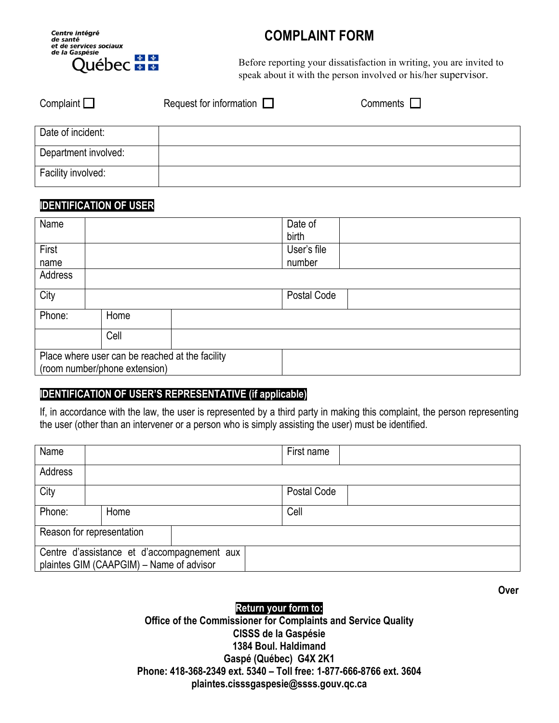

# **COMPLAINT FORM**

Before reporting your dissatisfaction in writing, you are invited to speak about it with the person involved or his/her supervisor.

| Complaint [ |  |
|-------------|--|
|             |  |

 $\Box$  Request for information  $\Box$ 

| ;omments |  |
|----------|--|
|          |  |

| Date of incident:    |  |
|----------------------|--|
| Department involved: |  |
| Facility involved:   |  |

### **IDENTIFICATION OF USER**

| Name                                            |      |  | Date of     |  |
|-------------------------------------------------|------|--|-------------|--|
|                                                 |      |  | birth       |  |
| First                                           |      |  | User's file |  |
| name                                            |      |  | number      |  |
| Address                                         |      |  |             |  |
| City                                            |      |  | Postal Code |  |
| Phone:                                          | Home |  |             |  |
|                                                 | Cell |  |             |  |
| Place where user can be reached at the facility |      |  |             |  |
| (room number/phone extension)                   |      |  |             |  |

#### **IDENTIFICATION OF USER'S REPRESENTATIVE (if applicable)**

If, in accordance with the law, the user is represented by a third party in making this complaint, the person representing the user (other than an intervener or a person who is simply assisting the user) must be identified.

| Name                                        |      |  |  | First name  |  |
|---------------------------------------------|------|--|--|-------------|--|
| Address                                     |      |  |  |             |  |
| City                                        |      |  |  | Postal Code |  |
| Phone:                                      | Home |  |  | Cell        |  |
| Reason for representation                   |      |  |  |             |  |
| Centre d'assistance et d'accompagnement aux |      |  |  |             |  |
| plaintes GIM (CAAPGIM) - Name of advisor    |      |  |  |             |  |

**Over**

#### **Return your form to:**

**Office of the Commissioner for Complaints and Service Quality CISSS de la Gaspésie 1384 Boul. Haldimand Gaspé (Québec) G4X 2K1 Phone: 418-368-2349 ext. 5340 – Toll free: 1-877-666-8766 ext. 3604 plaintes.cisssgaspesie@ssss.gouv.qc.ca**